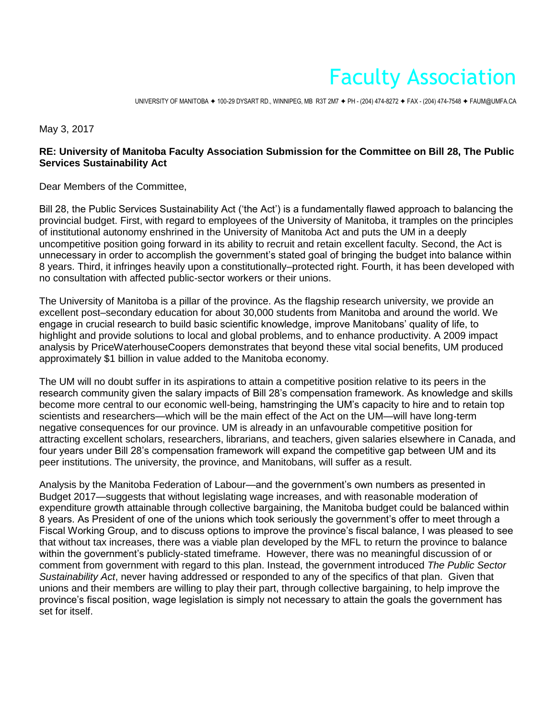## Faculty Association

UNIVERSITY OF MANITOBA ✦ 100-29 DYSART RD., WINNIPEG, MB R3T 2M7 ✦ PH - (204) 474-8272 ✦ FAX - (204) 474-7548 ✦ FAUM@UMFA.CA

May 3, 2017

## **RE: University of Manitoba Faculty Association Submission for the Committee on Bill 28, The Public Services Sustainability Act**

Dear Members of the Committee,

Bill 28, the Public Services Sustainability Act ('the Act') is a fundamentally flawed approach to balancing the provincial budget. First, with regard to employees of the University of Manitoba, it tramples on the principles of institutional autonomy enshrined in the University of Manitoba Act and puts the UM in a deeply uncompetitive position going forward in its ability to recruit and retain excellent faculty. Second, the Act is unnecessary in order to accomplish the government's stated goal of bringing the budget into balance within 8 years. Third, it infringes heavily upon a constitutionally–protected right. Fourth, it has been developed with no consultation with affected public-sector workers or their unions.

The University of Manitoba is a pillar of the province. As the flagship research university, we provide an excellent post–secondary education for about 30,000 students from Manitoba and around the world. We engage in crucial research to build basic scientific knowledge, improve Manitobans' quality of life, to highlight and provide solutions to local and global problems, and to enhance productivity. A 2009 impact analysis by PriceWaterhouseCoopers demonstrates that beyond these vital social benefits, UM produced approximately \$1 billion in value added to the Manitoba economy.

The UM will no doubt suffer in its aspirations to attain a competitive position relative to its peers in the research community given the salary impacts of Bill 28's compensation framework. As knowledge and skills become more central to our economic well-being, hamstringing the UM's capacity to hire and to retain top scientists and researchers—which will be the main effect of the Act on the UM—will have long-term negative consequences for our province. UM is already in an unfavourable competitive position for attracting excellent scholars, researchers, librarians, and teachers, given salaries elsewhere in Canada, and four years under Bill 28's compensation framework will expand the competitive gap between UM and its peer institutions. The university, the province, and Manitobans, will suffer as a result.

Analysis by the Manitoba Federation of Labour—and the government's own numbers as presented in Budget 2017—suggests that without legislating wage increases, and with reasonable moderation of expenditure growth attainable through collective bargaining, the Manitoba budget could be balanced within 8 years. As President of one of the unions which took seriously the government's offer to meet through a Fiscal Working Group, and to discuss options to improve the province's fiscal balance, I was pleased to see that without tax increases, there was a viable plan developed by the MFL to return the province to balance within the government's publicly-stated timeframe. However, there was no meaningful discussion of or comment from government with regard to this plan. Instead, the government introduced *The Public Sector Sustainability Act*, never having addressed or responded to any of the specifics of that plan. Given that unions and their members are willing to play their part, through collective bargaining, to help improve the province's fiscal position, wage legislation is simply not necessary to attain the goals the government has set for itself.